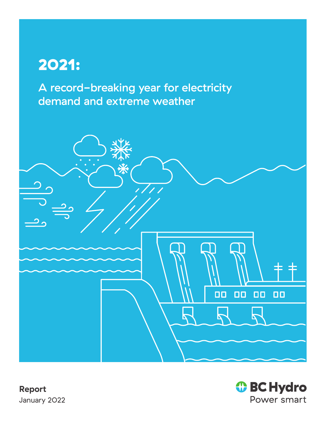# 2021:

A record-breaking year for electricity demand and extreme weather





**Report** January 2022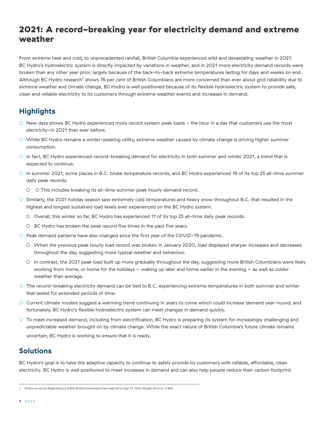# 2021: A record-breaking year for electricity demand and extreme weather

From extreme heat and cold, to unprecedented rainfall, British Columbia experienced wild and devastating weather in 2021. BC Hydro's hydroelectric system is directly impacted by variations in weather, and in 2021 more electricity demand records were broken than any other year prior, largely because of the back-to-back extreme temperatures lasting for days and weeks on end. Although BC Hydro research<sup>1</sup> shows 76 per cent of British Columbians are more concerned than ever about grid reliability due to extreme weather and climate change, BC Hydro is well positioned because of its flexible hydroelectric system to provide safe, clean and reliable electricity to its customers through extreme weather events and increases in demand.

## **Highlights**

- New data shows BC Hydro experienced more record system peak loads the hour in a day that customers use the most electricity-in 2021 than ever before.
- While BC Hydro remains a winter-peaking utility, extreme weather caused by climate change is driving higher summer consumption.
- In fact, BC Hydro experienced record-breaking demand for electricity in both summer and winter 2021, a trend that is expected to continue.
- In summer 2021, some places in B.C. broke temperature records, and BC Hydro experienced 19 of its top 25 all-time summer daily peak records.
	- ○ This includes breaking its all-time summer peak hourly demand record.
- Similarly, the 2021 holiday season saw extremely cold temperatures and heavy snow throughout B.C. that resulted in the highest and longest sustained load levels ever experienced on the BC Hydro system.
	- Overall, this winter so far, BC Hydro has experienced 11 of its top 25 all-time daily peak records.
	- BC Hydro has broken the peak record five times in the past five years.
- Peak demand patterns have also changed since the first year of the COVID-19 pandemic.
	- When the previous peak hourly load record was broken in January 2020, load displayed sharper increases and decreases throughout the day, suggesting more typical weather and behaviour.
	- In contrast, the 2021 peak load built up more gradually throughout the day, suggesting more British Columbians were likely working from home, or home for the holidays – waking up later and home earlier in the evening – as well as colder weather than average.
- The record-breaking electricity demand can be tied to B.C. experiencing extreme temperatures in both summer and winter that lasted for extended periods of time.
- Current climate models suggest a warming trend continuing in years to come which could increase demand year-round, and fortunately, BC Hydro's flexible hydroelectric system can meet changes in demand quickly.
- To meet increased demand, including from electrification, BC Hydro is preparing its system for increasingly challenging and unpredictable weather brought on by climate change. While the exact nature of British Columbia's future climate remains uncertain, BC Hydro is working to ensure that it is ready.

#### **Solutions**

BC Hydro's goal is to have the adaptive capacity to continue to safely provide its customers with reliable, affordable, clean electricity. BC Hydro is well positioned to meet increases in demand and can also help people reduce their carbon footprint:

<sup>1</sup>  Online survey by Majid Khoury of 801 British Columbians from Sept 24 to Sept 27, 2021. Margin of error: 3.46%.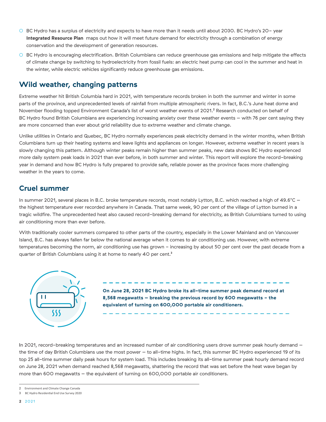- BC Hydro has a surplus of electricity and expects to have more than it needs until about 2030. BC Hydro's 20- year **Integrated Resource Plan** maps out how it will meet future demand for electricity through a combination of energy conservation and the development of generation resources.
- BC Hydro is encouraging electrification. British Columbians can reduce greenhouse gas emissions and help mitigate the effects of climate change by switching to hydroelectricity from fossil fuels: an electric heat pump can cool in the summer and heat in the winter, while electric vehicles significantly reduce greenhouse gas emissions.

#### **Wild weather, changing patterns**

Extreme weather hit British Columbia hard in 2021, with temperature records broken in both the summer and winter in some parts of the province, and unprecedented levels of rainfall from multiple atmospheric rivers. In fact, B.C.'s June heat dome and November flooding topped Environment Canada's list of worst weather events of 2021.<sup>2</sup> Research conducted on behalf of BC Hydro found British Columbians are experiencing increasing anxiety over these weather events – with 76 per cent saying they are more concerned than ever about grid reliability due to extreme weather and climate change.

Unlike utilities in Ontario and Quebec, BC Hydro normally experiences peak electricity demand in the winter months, when British Columbians turn up their heating systems and leave lights and appliances on longer. However, extreme weather in recent years is slowly changing this pattern. Although winter peaks remain higher than summer peaks, new data shows BC Hydro experienced more daily system peak loads in 2021 than ever before, in both summer and winter. This report will explore the record-breaking year in demand and how BC Hydro is fully prepared to provide safe, reliable power as the province faces more challenging weather in the years to come.

#### **Cruel summer**

In summer 2021, several places in B.C. broke temperature records, most notably Lytton, B.C. which reached a high of 49.6°C – the highest temperature ever recorded anywhere in Canada. That same week, 90 per cent of the village of Lytton burned in a tragic wildfire. The unprecedented heat also caused record-breaking demand for electricity, as British Columbians turned to using air conditioning more than ever before.

With traditionally cooler summers compared to other parts of the country, especially in the Lower Mainland and on Vancouver Island, B.C. has always fallen far below the national average when it comes to air conditioning use. However, with extreme temperatures becoming the norm, air conditioning use has grown - increasing by about 50 per cent over the past decade from a quarter of British Columbians using it at home to nearly 40 per cent.<sup>3</sup>



**On June 28, 2021 BC Hydro broke its all-time summer peak demand record at 8,568 megawatts – breaking the previous record by 600 megawatts - the equivalent of turning on 600,000 portable air conditioners.**

In 2021, record-breaking temperatures and an increased number of air conditioning users drove summer peak hourly demand – the time of day British Columbians use the most power – to all-time highs. In fact, this summer BC Hydro experienced 19 of its top 25 all-time summer daily peak hours for system load. This includes breaking its all-time summer peak hourly demand record on June 28, 2021 when demand reached 8,568 megawatts, shattering the record that was set before the heat wave began by more than 600 megawatts – the equivalent of turning on 600,000 portable air conditioners.

- 2 Environment and Climate Change Canada
- 3 BC Hydro Residential End Use Survey 2020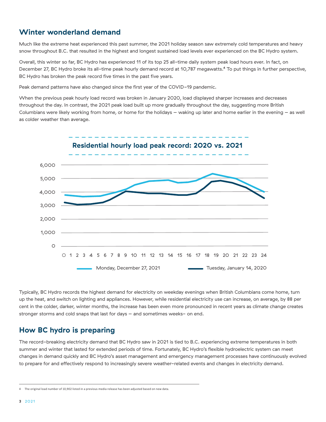#### **Winter wonderland demand**

Much like the extreme heat experienced this past summer, the 2021 holiday season saw extremely cold temperatures and heavy snow throughout B.C. that resulted in the highest and longest sustained load levels ever experienced on the BC Hydro system.

Overall, this winter so far, BC Hydro has experienced 11 of its top 25 all-time daily system peak load hours ever. In fact, on December 27, BC Hydro broke its all-time peak hourly demand record at 10,787 megawatts.<sup>4</sup> To put things in further perspective, BC Hydro has broken the peak record five times in the past five years.

Peak demand patterns have also changed since the first year of the COVID-19 pandemic.

When the previous peak hourly load record was broken in January 2020, load displayed sharper increases and decreases throughout the day. In contrast, the 2021 peak load built up more gradually throughout the day, suggesting more British Columbians were likely working from home, or home for the holidays – waking up later and home earlier in the evening – as well as colder weather than average.



Typically, BC Hydro records the highest demand for electricity on weekday evenings when British Columbians come home, turn up the heat, and switch on lighting and appliances. However, while residential electricity use can increase, on average, by 88 per cent in the colder, darker, winter months, the increase has been even more pronounced in recent years as climate change creates stronger storms and cold snaps that last for days - and sometimes weeks- on end.

#### **How BC hydro is preparing**

The record-breaking electricity demand that BC Hydro saw in 2021 is tied to B.C. experiencing extreme temperatures in both summer and winter that lasted for extended periods of time. Fortunately, BC Hydro's flexible hydroelectric system can meet changes in demand quickly and BC Hydro's asset management and emergency management processes have continuously evolved to prepare for and effectively respond to increasingly severe weather-related events and changes in electricity demand.

<sup>4</sup>  The original load number of 10,902 listed in a previous media release has been adjusted based on new data.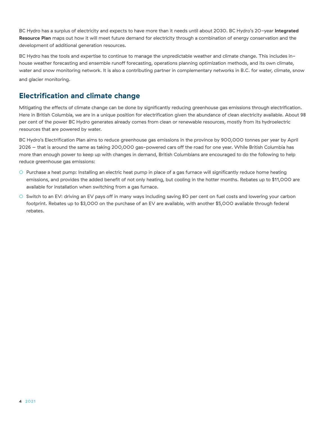BC Hydro has a surplus of electricity and expects to have more than it needs until about 2030. BC Hydro's 20-year **Integrated Resource Plan** maps out how it will meet future demand for electricity through a combination of energy conservation and the development of additional generation resources.

BC Hydro has the tools and expertise to continue to manage the unpredictable weather and climate change. This includes inhouse weather forecasting and ensemble runoff forecasting, operations planning optimization methods, and its own climate, water and snow monitoring network. It is also a contributing partner in complementary networks in B.C. for water, climate, snow and glacier monitoring.

## **Electrification and climate change**

Mitigating the effects of climate change can be done by significantly reducing greenhouse gas emissions through electrification. Here in British Columbia, we are in a unique position for electrification given the abundance of clean electricity available. About 98 per cent of the power BC Hydro generates already comes from clean or renewable resources, mostly from its hydroelectric resources that are powered by water.

BC Hydro's Electrification Plan aims to reduce greenhouse gas emissions in the province by 900,000 tonnes per year by April 2026 – that is around the same as taking 200,000 gas-powered cars off the road for one year. While British Columbia has more than enough power to keep up with changes in demand, British Columbians are encouraged to do the following to help reduce greenhouse gas emissions:

- Purchase a heat pump: Installing an electric heat pump in place of a gas furnace will significantly reduce home heating emissions, and provides the added benefit of not only heating, but cooling in the hotter months. Rebates up to \$11,000 are available for installation when switching from a gas furnace.
- Switch to an EV: driving an EV pays off in many ways including saving 80 per cent on fuel costs and lowering your carbon footprint. Rebates up to \$3,000 on the purchase of an EV are available, with another \$5,000 available through federal rebates.